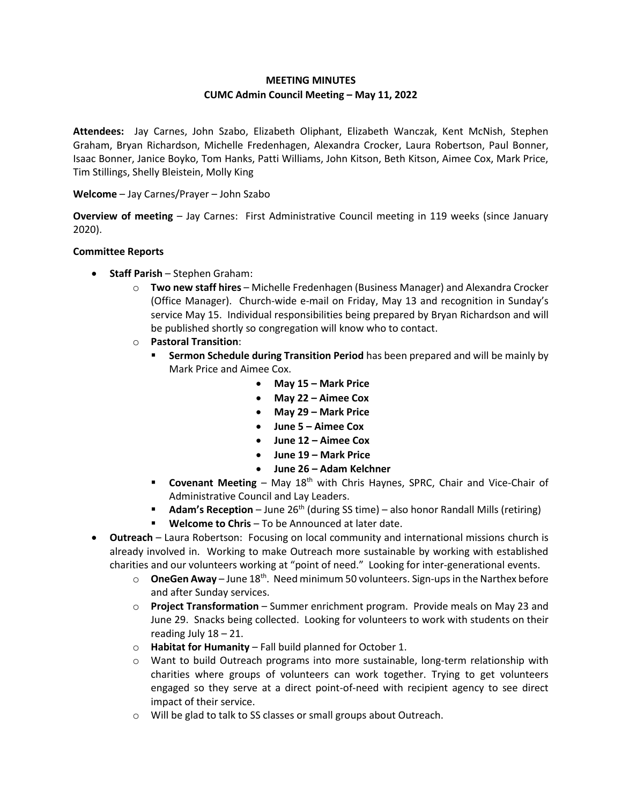# **MEETING MINUTES CUMC Admin Council Meeting – May 11, 2022**

**Attendees:** Jay Carnes, John Szabo, Elizabeth Oliphant, Elizabeth Wanczak, Kent McNish, Stephen Graham, Bryan Richardson, Michelle Fredenhagen, Alexandra Crocker, Laura Robertson, Paul Bonner, Isaac Bonner, Janice Boyko, Tom Hanks, Patti Williams, John Kitson, Beth Kitson, Aimee Cox, Mark Price, Tim Stillings, Shelly Bleistein, Molly King

# **Welcome** – Jay Carnes/Prayer – John Szabo

**Overview of meeting** – Jay Carnes: First Administrative Council meeting in 119 weeks (since January 2020).

### **Committee Reports**

- **Staff Parish** Stephen Graham:
	- o **Two new staff hires** Michelle Fredenhagen (Business Manager) and Alexandra Crocker (Office Manager). Church-wide e-mail on Friday, May 13 and recognition in Sunday's service May 15. Individual responsibilities being prepared by Bryan Richardson and will be published shortly so congregation will know who to contact.
	- o **Pastoral Transition**:
		- **Sermon Schedule during Transition Period** has been prepared and will be mainly by Mark Price and Aimee Cox.
			- **May 15 – Mark Price**
			- **May 22 – Aimee Cox**
			- **May 29 – Mark Price**
			- **June 5 – Aimee Cox**
			- **June 12 – Aimee Cox**
			- **June 19 – Mark Price**
			- **June 26 – Adam Kelchner**
		- **Covenant Meeting** May 18<sup>th</sup> with Chris Haynes, SPRC, Chair and Vice-Chair of Administrative Council and Lay Leaders.
		- **Adam's Reception** June 26<sup>th</sup> (during SS time) also honor Randall Mills (retiring)
		- **Welcome to Chris**  To be Announced at later date.
- **Outreach**  Laura Robertson: Focusing on local community and international missions church is already involved in. Working to make Outreach more sustainable by working with established charities and our volunteers working at "point of need." Looking for inter-generational events.
	- $\circ$  **OneGen Away** June 18<sup>th</sup>. Need minimum 50 volunteers. Sign-ups in the Narthex before and after Sunday services.
	- o **Project Transformation**  Summer enrichment program. Provide meals on May 23 and June 29. Snacks being collected. Looking for volunteers to work with students on their reading July 18 – 21.
	- o **Habitat for Humanity**  Fall build planned for October 1.
	- o Want to build Outreach programs into more sustainable, long-term relationship with charities where groups of volunteers can work together. Trying to get volunteers engaged so they serve at a direct point-of-need with recipient agency to see direct impact of their service.
	- o Will be glad to talk to SS classes or small groups about Outreach.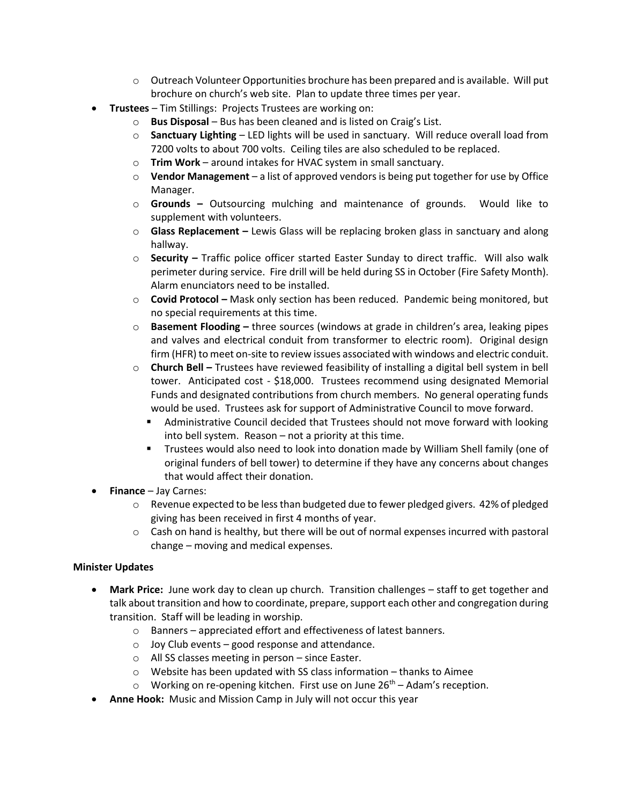- $\circ$  Outreach Volunteer Opportunities brochure has been prepared and is available. Will put brochure on church's web site. Plan to update three times per year.
- **Trustees**  Tim Stillings: Projects Trustees are working on:
	- o **Bus Disposal** Bus has been cleaned and is listed on Craig's List.
	- o **Sanctuary Lighting** LED lights will be used in sanctuary. Will reduce overall load from 7200 volts to about 700 volts. Ceiling tiles are also scheduled to be replaced.
	- o **Trim Work** around intakes for HVAC system in small sanctuary.
	- o **Vendor Management** a list of approved vendors is being put together for use by Office Manager.
	- o **Grounds –** Outsourcing mulching and maintenance of grounds. Would like to supplement with volunteers.
	- o **Glass Replacement –** Lewis Glass will be replacing broken glass in sanctuary and along hallway.
	- o **Security –** Traffic police officer started Easter Sunday to direct traffic. Will also walk perimeter during service. Fire drill will be held during SS in October (Fire Safety Month). Alarm enunciators need to be installed.
	- o **Covid Protocol –** Mask only section has been reduced. Pandemic being monitored, but no special requirements at this time.
	- o **Basement Flooding –** three sources (windows at grade in children's area, leaking pipes and valves and electrical conduit from transformer to electric room). Original design firm (HFR) to meet on-site to review issues associated with windows and electric conduit.
	- o **Church Bell –** Trustees have reviewed feasibility of installing a digital bell system in bell tower. Anticipated cost - \$18,000. Trustees recommend using designated Memorial Funds and designated contributions from church members. No general operating funds would be used. Trustees ask for support of Administrative Council to move forward.
		- Administrative Council decided that Trustees should not move forward with looking into bell system. Reason – not a priority at this time.
		- Trustees would also need to look into donation made by William Shell family (one of original funders of bell tower) to determine if they have any concerns about changes that would affect their donation.
- **Finance** Jay Carnes:
	- $\circ$  Revenue expected to be less than budgeted due to fewer pledged givers. 42% of pledged giving has been received in first 4 months of year.
	- $\circ$  Cash on hand is healthy, but there will be out of normal expenses incurred with pastoral change – moving and medical expenses.

# **Minister Updates**

- **Mark Price:** June work day to clean up church. Transition challenges staff to get together and talk about transition and how to coordinate, prepare, support each other and congregation during transition. Staff will be leading in worship.
	- o Banners appreciated effort and effectiveness of latest banners.
	- $\circ$  Joy Club events good response and attendance.
	- o All SS classes meeting in person since Easter.
	- o Website has been updated with SS class information thanks to Aimee
	- $\circ$  Working on re-opening kitchen. First use on June 26<sup>th</sup> Adam's reception.
- **Anne Hook:** Music and Mission Camp in July will not occur this year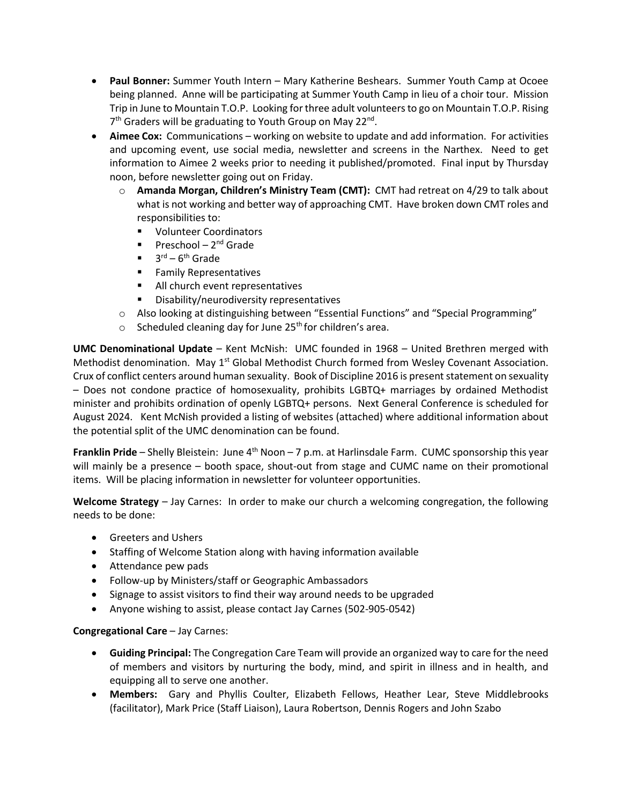- **Paul Bonner:** Summer Youth Intern Mary Katherine Beshears. Summer Youth Camp at Ocoee being planned. Anne will be participating at Summer Youth Camp in lieu of a choir tour. Mission Trip in June to Mountain T.O.P. Looking for three adult volunteers to go on Mountain T.O.P. Rising 7<sup>th</sup> Graders will be graduating to Youth Group on May 22<sup>nd</sup>.
- **Aimee Cox:** Communications working on website to update and add information. For activities and upcoming event, use social media, newsletter and screens in the Narthex. Need to get information to Aimee 2 weeks prior to needing it published/promoted. Final input by Thursday noon, before newsletter going out on Friday.
	- o **Amanda Morgan, Children's Ministry Team (CMT):** CMT had retreat on 4/29 to talk about what is not working and better way of approaching CMT. Have broken down CMT roles and responsibilities to:
		- **U** Volunteer Coordinators
		- Preschool 2<sup>nd</sup> Grade
		- $\blacksquare$  3<sup>rd</sup> 6<sup>th</sup> Grade
		- **Family Representatives**
		- **All church event representatives**
		- **•** Disability/neurodiversity representatives
	- o Also looking at distinguishing between "Essential Functions" and "Special Programming"
	- $\circ$  Scheduled cleaning day for June 25<sup>th</sup> for children's area.

**UMC Denominational Update** – Kent McNish: UMC founded in 1968 – United Brethren merged with Methodist denomination. May 1<sup>st</sup> Global Methodist Church formed from Wesley Covenant Association. Crux of conflict centers around human sexuality. Book of Discipline 2016 is present statement on sexuality – Does not condone practice of homosexuality, prohibits LGBTQ+ marriages by ordained Methodist minister and prohibits ordination of openly LGBTQ+ persons. Next General Conference is scheduled for August 2024. Kent McNish provided a listing of websites (attached) where additional information about the potential split of the UMC denomination can be found.

**Franklin Pride** – Shelly Bleistein: June 4<sup>th</sup> Noon – 7 p.m. at Harlinsdale Farm. CUMC sponsorship this year will mainly be a presence – booth space, shout-out from stage and CUMC name on their promotional items. Will be placing information in newsletter for volunteer opportunities.

**Welcome Strategy** – Jay Carnes: In order to make our church a welcoming congregation, the following needs to be done:

- **•** Greeters and Ushers
- Staffing of Welcome Station along with having information available
- Attendance pew pads
- Follow-up by Ministers/staff or Geographic Ambassadors
- Signage to assist visitors to find their way around needs to be upgraded
- Anyone wishing to assist, please contact Jay Carnes (502-905-0542)

# **Congregational Care** – Jay Carnes:

- **Guiding Principal:** The Congregation Care Team will provide an organized way to care for the need of members and visitors by nurturing the body, mind, and spirit in illness and in health, and equipping all to serve one another.
- **Members:** Gary and Phyllis Coulter, Elizabeth Fellows, Heather Lear, Steve Middlebrooks (facilitator), Mark Price (Staff Liaison), Laura Robertson, Dennis Rogers and John Szabo